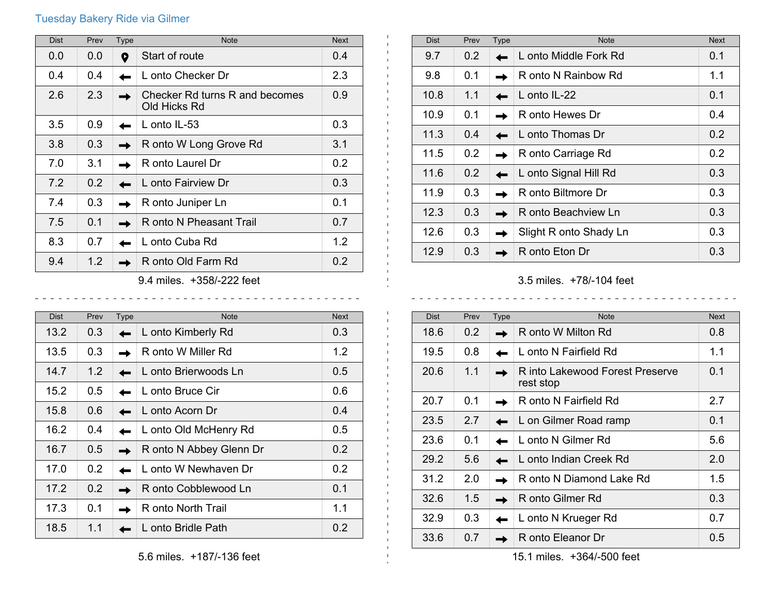## Tuesday Bakery Ride via Gilmer

| <b>Dist</b>               | Prev | <b>Type</b> | <b>Note</b>                                    | <b>Next</b> |
|---------------------------|------|-------------|------------------------------------------------|-------------|
| 0.0                       | 0.0  | 9           | Start of route                                 | 0.4         |
| 0.4                       | 0.4  |             | L onto Checker Dr                              | 2.3         |
| 2.6                       | 2.3  |             | Checker Rd turns R and becomes<br>Old Hicks Rd | 0.9         |
| 3.5                       | 0.9  |             | L onto IL-53                                   | 0.3         |
| 3.8                       | 0.3  |             | R onto W Long Grove Rd                         | 3.1         |
| 7.0                       | 3.1  |             | R onto Laurel Dr                               | 0.2         |
| 7.2                       | 0.2  |             | L onto Fairview Dr                             | 0.3         |
| 7.4                       | 0.3  |             | R onto Juniper Ln                              | 0.1         |
| 7.5                       | 0.1  |             | R onto N Pheasant Trail                        | 0.7         |
| 8.3                       | 0.7  |             | L onto Cuba Rd                                 | 1.2         |
| 9.4                       | 1.2  |             | R onto Old Farm Rd                             | 0.2         |
| 9.4 miles. +358/-222 feet |      |             |                                                |             |

| <b>Dist</b> | Prev | <b>Type</b> | <b>Note</b>             | <b>Next</b>   |
|-------------|------|-------------|-------------------------|---------------|
| 13.2        | 0.3  |             | L onto Kimberly Rd      | 0.3           |
| 13.5        | 0.3  |             | R onto W Miller Rd      | 1.2           |
| 14.7        | 1.2  |             | L onto Brierwoods Ln    | 0.5           |
| 15.2        | 0.5  |             | L onto Bruce Cir        | 0.6           |
| 15.8        | 0.6  |             | L onto Acorn Dr         | 0.4           |
| 16.2        | 0.4  |             | L onto Old McHenry Rd   | $0.5^{\circ}$ |
| 16.7        | 0.5  |             | R onto N Abbey Glenn Dr | 0.2           |
| 17.0        | 0.2  |             | L onto W Newhaven Dr    | 0.2           |
| 17.2        | 0.2  |             | R onto Cobblewood Ln    | 0.1           |
| 17.3        | 0.1  |             | R onto North Trail      | 1.1           |
| 18.5        | 1.1  |             | L onto Bridle Path      | 0.2           |

| <b>Dist</b> | Prev             | <b>Type</b> | <b>Note</b>            | <b>Next</b> |
|-------------|------------------|-------------|------------------------|-------------|
| 9.7         | 0.2              |             | L onto Middle Fork Rd  | 0.1         |
| 9.8         | 0.1              |             | R onto N Rainbow Rd    | 1.1         |
| 10.8        | 1.1              |             | L onto IL-22           | 0.1         |
| 10.9        | 0.1              |             | R onto Hewes Dr        | 0.4         |
| 11.3        | 0.4              |             | L onto Thomas Dr       | 0.2         |
| 11.5        | 0.2 <sub>0</sub> |             | R onto Carriage Rd     | 0.2         |
| 11.6        | 0.2              |             | L onto Signal Hill Rd  | 0.3         |
| 11.9        | 0.3              |             | R onto Biltmore Dr     | 0.3         |
| 12.3        | 0.3              |             | R onto Beachview Ln    | 0.3         |
| 12.6        | 0.3              |             | Slight R onto Shady Ln | 0.3         |
| 12.9        | 0.3              |             | R onto Eton Dr         | 0.3         |

3.5 miles. +78/-104 feet

 $\mathbf{1}$ 

 $\pm 1$ 

 $\frac{1}{2}$ 

| <b>Dist</b> | Prev | <b>Type</b> | <b>Note</b>                                  | <b>Next</b> |
|-------------|------|-------------|----------------------------------------------|-------------|
| 18.6        | 0.2  |             | R onto W Milton Rd                           | 0.8         |
| 19.5        | 0.8  |             | L onto N Fairfield Rd                        | 1.1         |
| 20.6        | 1.1  |             | R into Lakewood Forest Preserve<br>rest stop | 0.1         |
| 20.7        | 0.1  |             | R onto N Fairfield Rd                        | 2.7         |
| 23.5        | 2.7  |             | L on Gilmer Road ramp                        | 0.1         |
| 23.6        | 0.1  |             | L onto N Gilmer Rd                           | 5.6         |
| 29.2        | 5.6  |             | L onto Indian Creek Rd                       | 2.0         |
| 31.2        | 2.0  |             | R onto N Diamond Lake Rd                     | 1.5         |
| 32.6        | 1.5  |             | R onto Gilmer Rd                             | 0.3         |
| 32.9        | 0.3  |             | L onto N Krueger Rd                          | 0.7         |
| 33.6        | 0.7  |             | R onto Eleanor Dr                            | 0.5         |

15.1 miles. +364/-500 feet